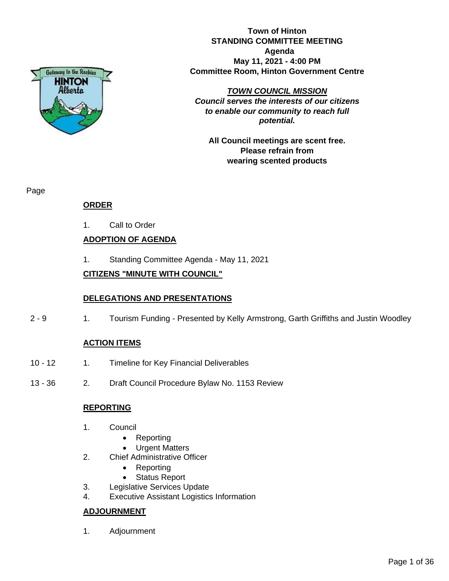

**Town of Hinton STANDING COMMITTEE MEETING Agenda May 11, 2021 - 4:00 PM Committee Room, Hinton Government Centre**

*TOWN COUNCIL MISSION Council serves the interests of our citizens to enable our community to reach full potential.*

**All Council meetings are scent free. Please refrain from wearing scented products**

Page

# **ORDER**

1. Call to Order

# **ADOPTION OF AGENDA**

1. Standing Committee Agenda - May 11, 2021

# **CITIZENS "MINUTE WITH COUNCIL"**

# **DELEGATIONS AND PRESENTATIONS**

2 - 9 1. Tourism Funding - Presented by Kelly Armstrong, Garth Griffiths and Justin Woodley

# **ACTION ITEMS**

- 10 12 1. Timeline for Key Financial Deliverables
- 13 36 2. Draft Council Procedure Bylaw No. 1153 Review

# **REPORTING**

- 1. Council
	- Reporting
	- **Urgent Matters**
- 2. Chief Administrative Officer
	- Reporting
	- Status Report
- 3. Legislative Services Update
- 4. Executive Assistant Logistics Information

# **ADJOURNMENT**

1. Adjournment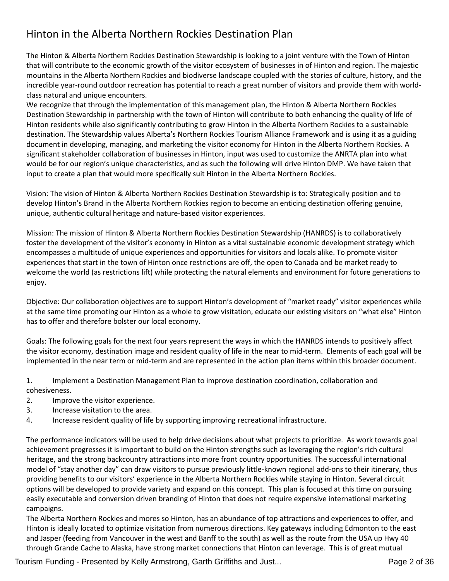# Hinton in the Alberta Northern Rockies Destination Plan

The Hinton & Alberta Northern Rockies Destination Stewardship is looking to a joint venture with the Town of Hinton that will contribute to the economic growth of the visitor ecosystem of businesses in of Hinton and region. The majestic mountains in the Alberta Northern Rockies and biodiverse landscape coupled with the stories of culture, history, and the incredible year-round outdoor recreation has potential to reach a great number of visitors and provide them with worldclass natural and unique encounters.

We recognize that through the implementation of this management plan, the Hinton & Alberta Northern Rockies Destination Stewardship in partnership with the town of Hinton will contribute to both enhancing the quality of life of Hinton residents while also significantly contributing to grow Hinton in the Alberta Northern Rockies to a sustainable destination. The Stewardship values Alberta's Northern Rockies Tourism Alliance Framework and is using it as a guiding document in developing, managing, and marketing the visitor economy for Hinton in the Alberta Northern Rockies. A significant stakeholder collaboration of businesses in Hinton, input was used to customize the ANRTA plan into what would be for our region's unique characteristics, and as such the following will drive Hinton DMP. We have taken that input to create a plan that would more specifically suit Hinton in the Alberta Northern Rockies.

Vision: The vision of Hinton & Alberta Northern Rockies Destination Stewardship is to: Strategically position and to develop Hinton's Brand in the Alberta Northern Rockies region to become an enticing destination offering genuine, unique, authentic cultural heritage and nature-based visitor experiences.

Mission: The mission of Hinton & Alberta Northern Rockies Destination Stewardship (HANRDS) is to collaboratively foster the development of the visitor's economy in Hinton as a vital sustainable economic development strategy which encompasses a multitude of unique experiences and opportunities for visitors and locals alike. To promote visitor experiences that start in the town of Hinton once restrictions are off, the open to Canada and be market ready to welcome the world (as restrictions lift) while protecting the natural elements and environment for future generations to enjoy.

Objective: Our collaboration objectives are to support Hinton's development of "market ready" visitor experiences while at the same time promoting our Hinton as a whole to grow visitation, educate our existing visitors on "what else" Hinton has to offer and therefore bolster our local economy.

Goals: The following goals for the next four years represent the ways in which the HANRDS intends to positively affect the visitor economy, destination image and resident quality of life in the near to mid-term. Elements of each goal will be implemented in the near term or mid-term and are represented in the action plan items within this broader document.

1. Implement a Destination Management Plan to improve destination coordination, collaboration and cohesiveness.

- 2. Improve the visitor experience.
- 3. Increase visitation to the area.
- 4. Increase resident quality of life by supporting improving recreational infrastructure.

The performance indicators will be used to help drive decisions about what projects to prioritize. As work towards goal achievement progresses it is important to build on the Hinton strengths such as leveraging the region's rich cultural heritage, and the strong backcountry attractions into more front country opportunities. The successful international model of "stay another day" can draw visitors to pursue previously little-known regional add-ons to their itinerary, thus providing benefits to our visitors' experience in the Alberta Northern Rockies while staying in Hinton. Several circuit options will be developed to provide variety and expand on this concept. This plan is focused at this time on pursuing easily executable and conversion driven branding of Hinton that does not require expensive international marketing campaigns.

The Alberta Northern Rockies and mores so Hinton, has an abundance of top attractions and experiences to offer, and Hinton is ideally located to optimize visitation from numerous directions. Key gateways including Edmonton to the east and Jasper (feeding from Vancouver in the west and Banff to the south) as well as the route from the USA up Hwy 40 through Grande Cache to Alaska, have strong market connections that Hinton can leverage. This is of great mutual

Tourism Funding - Presented by Kelly Armstrong, Garth Griffiths and Just... Page 2 of 36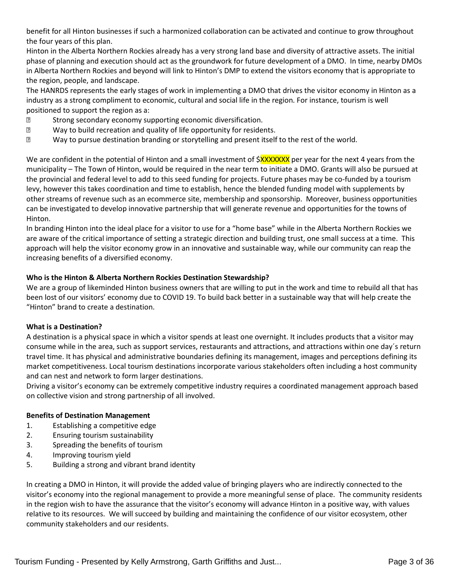benefit for all Hinton businesses if such a harmonized collaboration can be activated and continue to grow throughout the four years of this plan.

Hinton in the Alberta Northern Rockies already has a very strong land base and diversity of attractive assets. The initial phase of planning and execution should act as the groundwork for future development of a DMO. In time, nearby DMOs in Alberta Northern Rockies and beyond will link to Hinton's DMP to extend the visitors economy that is appropriate to the region, people, and landscape.

The HANRDS represents the early stages of work in implementing a DMO that drives the visitor economy in Hinton as a industry as a strong compliment to economic, cultural and social life in the region. For instance, tourism is well positioned to support the region as a:

- Strong secondary economy supporting economic diversification.
- **2** Way to build recreation and quality of life opportunity for residents.
- **213. Way to pursue destination branding or storytelling and present itself to the rest of the world.**

We are confident in the potential of Hinton and a small investment of  $\frac{8}{2}$ XXXXXXXX per year for the next 4 years from the municipality – The Town of Hinton, would be required in the near term to initiate a DMO. Grants will also be pursued at the provincial and federal level to add to this seed funding for projects. Future phases may be co-funded by a tourism levy, however this takes coordination and time to establish, hence the blended funding model with supplements by other streams of revenue such as an ecommerce site, membership and sponsorship. Moreover, business opportunities can be investigated to develop innovative partnership that will generate revenue and opportunities for the towns of Hinton.

In branding Hinton into the ideal place for a visitor to use for a "home base" while in the Alberta Northern Rockies we are aware of the critical importance of setting a strategic direction and building trust, one small success at a time. This approach will help the visitor economy grow in an innovative and sustainable way, while our community can reap the increasing benefits of a diversified economy.

#### **Who is the Hinton & Alberta Northern Rockies Destination Stewardship?**

We are a group of likeminded Hinton business owners that are willing to put in the work and time to rebuild all that has been lost of our visitors' economy due to COVID 19. To build back better in a sustainable way that will help create the "Hinton" brand to create a destination.

#### **What is a Destination?**

A destination is a physical space in which a visitor spends at least one overnight. It includes products that a visitor may consume while in the area, such as support services, restaurants and attractions, and attractions within one day´s return travel time. It has physical and administrative boundaries defining its management, images and perceptions defining its market competitiveness. Local tourism destinations incorporate various stakeholders often including a host community and can nest and network to form larger destinations.

Driving a visitor's economy can be extremely competitive industry requires a coordinated management approach based on collective vision and strong partnership of all involved.

#### **Benefits of Destination Management**

- 1. Establishing a competitive edge
- 2. Ensuring tourism sustainability
- 3. Spreading the benefits of tourism
- 4. Improving tourism yield
- 5. Building a strong and vibrant brand identity

In creating a DMO in Hinton, it will provide the added value of bringing players who are indirectly connected to the visitor's economy into the regional management to provide a more meaningful sense of place. The community residents in the region wish to have the assurance that the visitor's economy will advance Hinton in a positive way, with values relative to its resources. We will succeed by building and maintaining the confidence of our visitor ecosystem, other community stakeholders and our residents.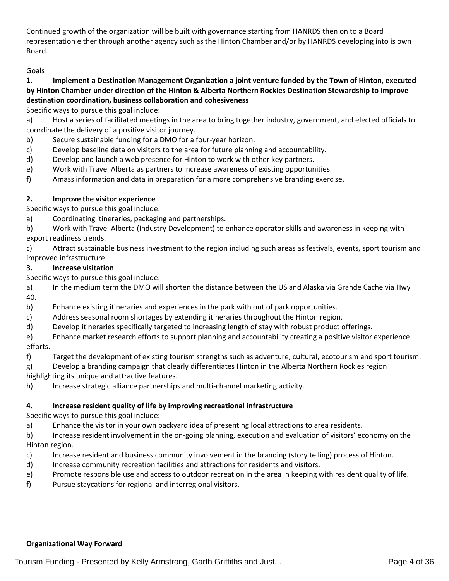Continued growth of the organization will be built with governance starting from HANRDS then on to a Board representation either through another agency such as the Hinton Chamber and/or by HANRDS developing into is own Board.

## Goals

## **1. Implement a Destination Management Organization a joint venture funded by the Town of Hinton, executed by Hinton Chamber under direction of the Hinton & Alberta Northern Rockies Destination Stewardship to improve destination coordination, business collaboration and cohesiveness**

Specific ways to pursue this goal include:

a) Host a series of facilitated meetings in the area to bring together industry, government, and elected officials to coordinate the delivery of a positive visitor journey.

- b) Secure sustainable funding for a DMO for a four-year horizon.
- c) Develop baseline data on visitors to the area for future planning and accountability.
- d) Develop and launch a web presence for Hinton to work with other key partners.
- e) Work with Travel Alberta as partners to increase awareness of existing opportunities.
- f) Amass information and data in preparation for a more comprehensive branding exercise.

#### **2. Improve the visitor experience**

Specific ways to pursue this goal include:

a) Coordinating itineraries, packaging and partnerships.

b) Work with Travel Alberta (Industry Development) to enhance operator skills and awareness in keeping with export readiness trends.

c) Attract sustainable business investment to the region including such areas as festivals, events, sport tourism and improved infrastructure.

### **3. Increase visitation**

Specific ways to pursue this goal include:

a) In the medium term the DMO will shorten the distance between the US and Alaska via Grande Cache via Hwy 40.

- b) Enhance existing itineraries and experiences in the park with out of park opportunities.
- c) Address seasonal room shortages by extending itineraries throughout the Hinton region.
- d) Develop itineraries specifically targeted to increasing length of stay with robust product offerings.

e) Enhance market research efforts to support planning and accountability creating a positive visitor experience efforts.

- f) Target the development of existing tourism strengths such as adventure, cultural, ecotourism and sport tourism.
- g) Develop a branding campaign that clearly differentiates Hinton in the Alberta Northern Rockies region highlighting its unique and attractive features.

h) Increase strategic alliance partnerships and multi-channel marketing activity.

#### **4. Increase resident quality of life by improving recreational infrastructure**

Specific ways to pursue this goal include:

a) Enhance the visitor in your own backyard idea of presenting local attractions to area residents.

b) Increase resident involvement in the on-going planning, execution and evaluation of visitors' economy on the Hinton region.

- c) Increase resident and business community involvement in the branding (story telling) process of Hinton.
- d) Increase community recreation facilities and attractions for residents and visitors.
- e) Promote responsible use and access to outdoor recreation in the area in keeping with resident quality of life.
- f) Pursue staycations for regional and interregional visitors.

#### **Organizational Way Forward**

Tourism Funding - Presented by Kelly Armstrong, Garth Griffiths and Just... Page 4 of 36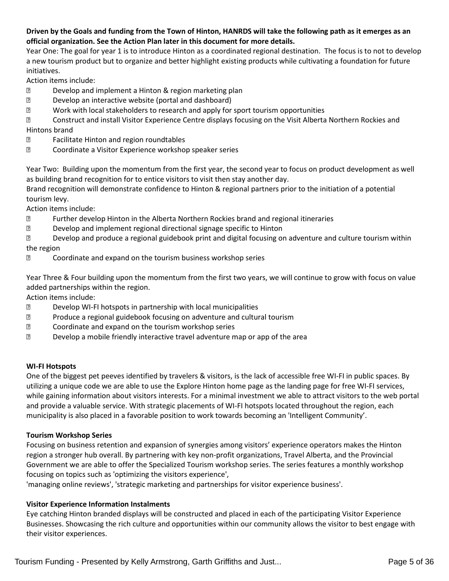## **Driven by the Goals and funding from the Town of Hinton, HANRDS will take the following path as it emerges as an official organization. See the Action Plan later in this document for more details.**

Year One: The goal for year 1 is to introduce Hinton as a coordinated regional destination. The focus is to not to develop a new tourism product but to organize and better highlight existing products while cultivating a foundation for future initiatives.

Action items include:

- **Develop and implement a Hinton & region marketing plan**
- Develop an interactive website (portal and dashboard)
- Work with local stakeholders to research and apply for sport tourism opportunities
- Construct and install Visitor Experience Centre displays focusing on the Visit Alberta Northern Rockies and Hintons brand
- Facilitate Hinton and region roundtables
- Coordinate a Visitor Experience workshop speaker series

Year Two: Building upon the momentum from the first year, the second year to focus on product development as well as building brand recognition for to entice visitors to visit then stay another day.

Brand recognition will demonstrate confidence to Hinton & regional partners prior to the initiation of a potential tourism levy.

Action items include:

- Further develop Hinton in the Alberta Northern Rockies brand and regional itineraries
- Develop and implement regional directional signage specific to Hinton
- Develop and produce a regional guidebook print and digital focusing on adventure and culture tourism within the region
- **E** Coordinate and expand on the tourism business workshop series

Year Three & Four building upon the momentum from the first two years, we will continue to grow with focus on value added partnerships within the region.

Action items include:

- **Develop WI-FI hotspots in partnership with local municipalities**
- **2** Produce a regional guidebook focusing on adventure and cultural tourism
- Coordinate and expand on the tourism workshop series
- Develop a mobile friendly interactive travel adventure map or app of the area

## **WI-FI Hotspots**

One of the biggest pet peeves identified by travelers & visitors, is the lack of accessible free WI-FI in public spaces. By utilizing a unique code we are able to use the Explore Hinton home page as the landing page for free WI-FI services, while gaining information about visitors interests. For a minimal investment we able to attract visitors to the web portal and provide a valuable service. With strategic placements of WI-FI hotspots located throughout the region, each municipality is also placed in a favorable position to work towards becoming an 'Intelligent Community'.

## **Tourism Workshop Series**

Focusing on business retention and expansion of synergies among visitors' experience operators makes the Hinton region a stronger hub overall. By partnering with key non-profit organizations, Travel Alberta, and the Provincial Government we are able to offer the Specialized Tourism workshop series. The series features a monthly workshop focusing on topics such as 'optimizing the visitors experience',

'managing online reviews', 'strategic marketing and partnerships for visitor experience business'.

## **Visitor Experience Information Instalments**

Eye catching Hinton branded displays will be constructed and placed in each of the participating Visitor Experience Businesses. Showcasing the rich culture and opportunities within our community allows the visitor to best engage with their visitor experiences.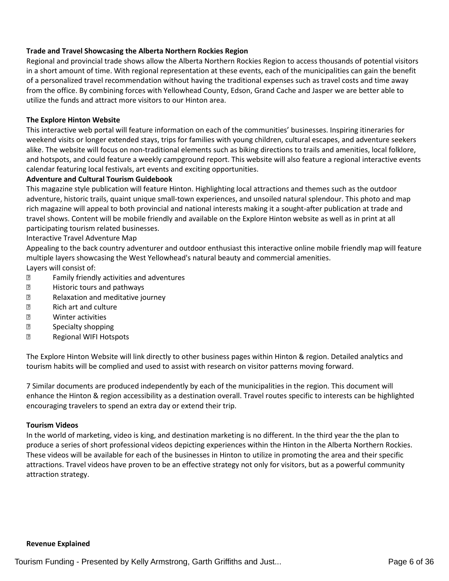#### **Trade and Travel Showcasing the Alberta Northern Rockies Region**

Regional and provincial trade shows allow the Alberta Northern Rockies Region to access thousands of potential visitors in a short amount of time. With regional representation at these events, each of the municipalities can gain the benefit of a personalized travel recommendation without having the traditional expenses such as travel costs and time away from the office. By combining forces with Yellowhead County, Edson, Grand Cache and Jasper we are better able to utilize the funds and attract more visitors to our Hinton area.

#### **The Explore Hinton Website**

This interactive web portal will feature information on each of the communities' businesses. Inspiring itineraries for weekend visits or longer extended stays, trips for families with young children, cultural escapes, and adventure seekers alike. The website will focus on non-traditional elements such as biking directions to trails and amenities, local folklore, and hotspots, and could feature a weekly campground report. This website will also feature a regional interactive events calendar featuring local festivals, art events and exciting opportunities.

#### **Adventure and Cultural Tourism Guidebook**

This magazine style publication will feature Hinton. Highlighting local attractions and themes such as the outdoor adventure, historic trails, quaint unique small-town experiences, and unsoiled natural splendour. This photo and map rich magazine will appeal to both provincial and national interests making it a sought-after publication at trade and travel shows. Content will be mobile friendly and available on the Explore Hinton website as well as in print at all participating tourism related businesses.

Interactive Travel Adventure Map

Appealing to the back country adventurer and outdoor enthusiast this interactive online mobile friendly map will feature multiple layers showcasing the West Yellowhead's natural beauty and commercial amenities. Layers will consist of:

- **E** Family friendly activities and adventures
- **E** Historic tours and pathways
- Relaxation and meditative journey
- Rich art and culture
- **2 Winter activities**
- **2** Specialty shopping
- **Regional WIFI Hotspots**

The Explore Hinton Website will link directly to other business pages within Hinton & region. Detailed analytics and tourism habits will be complied and used to assist with research on visitor patterns moving forward.

7 Similar documents are produced independently by each of the municipalities in the region. This document will enhance the Hinton & region accessibility as a destination overall. Travel routes specific to interests can be highlighted encouraging travelers to spend an extra day or extend their trip.

#### **Tourism Videos**

In the world of marketing, video is king, and destination marketing is no different. In the third year the the plan to produce a series of short professional videos depicting experiences within the Hinton in the Alberta Northern Rockies. These videos will be available for each of the businesses in Hinton to utilize in promoting the area and their specific attractions. Travel videos have proven to be an effective strategy not only for visitors, but as a powerful community attraction strategy.

#### **Revenue Explained**

Tourism Funding - Presented by Kelly Armstrong, Garth Griffiths and Just... The Common Change 6 of 36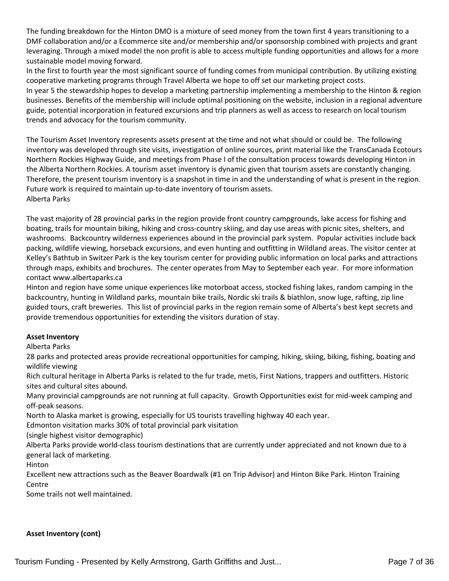The funding breakdown for the Hinton DMO is a mixture of seed money from the town first 4 years transitioning to a DMF collaboration and/or a Ecommerce site and/or membership and/or sponsorship combined with projects and grant leveraging. Through a mixed model the non profit is able to access multiple funding opportunities and allows for a more sustainable model moving forward.

In the first to fourth year the most significant source of funding comes from municipal contribution. By utilizing existing cooperative marketing programs through Travel Alberta we hope to off set our marketing project costs.

In year 5 the stewardship hopes to develop a marketing partnership implementing a membership to the Hinton & region businesses. Benefits of the membership will include optimal positioning on the website, inclusion in a regional adventure guide, potential incorporation in featured excursions and trip planners as well as access to research on local tourism trends and advocacy for the tourism community.

The Tourism Asset Inventory represents assets present at the time and not what should or could be. The following inventory was developed through site visits, investigation of online sources, print material like the TransCanada Ecotours Northern Rockies Highway Guide, and meetings from Phase I of the consultation process towards developing Hinton in the Alberta Northern Rockies. A tourism asset inventory is dynamic given that tourism assets are constantly changing. Therefore, the present tourism inventory is a snapshot in time in and the understanding of what is present in the region. Future work is required to maintain up-to-date inventory of tourism assets. Alberta Parks

The vast majority of 28 provincial parks in the region provide front country campgrounds, lake access for fishing and boating, trails for mountain biking, hiking and cross-country skiing, and day use areas with picnic sites, shelters, and washrooms. Backcountry wilderness experiences abound in the provincial park system. Popular activities include back packing, wildlife viewing, horseback excursions, and even hunting and outfitting in Wildland areas. The visitor center at Kelley's Bathtub in Switzer Park is the key tourism center for providing public information on local parks and attractions through maps, exhibits and brochures. The center operates from May to September each year. For more information contact www.albertaparks.ca

Hinton and region have some unique experiences like motorboat access, stocked fishing lakes, random camping in the backcountry, hunting in Wildland parks, mountain bike trails, Nordic ski trails & biathlon, snow luge, rafting, zip line guided tours, craft breweries. This list of provincial parks in the region remain some of Alberta's best kept secrets and provide tremendous opportunities for extending the visitors duration of stay.

#### **Asset Inventory**

Alberta Parks

28 parks and protected areas provide recreational opportunities for camping, hiking, skiing, biking, fishing, boating and wildlife viewing

Rich cultural heritage in Alberta Parks is related to the fur trade, metis, First Nations, trappers and outfitters. Historic sites and cultural sites abound.

Many provincial campgrounds are not running at full capacity. Growth Opportunities exist for mid-week camping and off-peak seasons.

North to Alaska market is growing, especially for US tourists travelling highway 40 each year.

Edmonton visitation marks 30% of total provincial park visitation

(single highest visitor demographic)

Alberta Parks provide world-class tourism destinations that are currently under appreciated and not known due to a general lack of marketing.

Hinton

Excellent new attractions such as the Beaver Boardwalk (#1 on Trip Advisor) and Hinton Bike Park. Hinton Training Centre

Some trails not well maintained.

## **Asset Inventory (cont)**

Tourism Funding - Presented by Kelly Armstrong, Garth Griffiths and Just... Page 7 of 36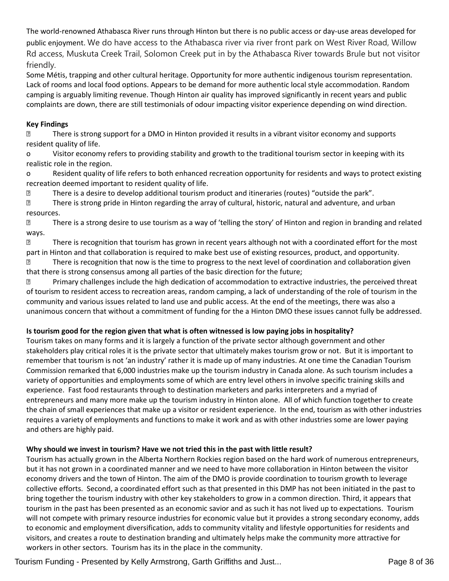The world-renowned Athabasca River runs through Hinton but there is no public access or day-use areas developed for public enjoyment. We do have access to the Athabasca river via river front park on West River Road, Willow Rd access, Muskuta Creek Trail, Solomon Creek put in by the Athabasca River towards Brule but not visitor friendly.

Some Métis, trapping and other cultural heritage. Opportunity for more authentic indigenous tourism representation. Lack of rooms and local food options. Appears to be demand for more authentic local style accommodation. Random camping is arguably limiting revenue. Though Hinton air quality has improved significantly in recent years and public complaints are down, there are still testimonials of odour impacting visitor experience depending on wind direction.

### **Key Findings**

 There is strong support for a DMO in Hinton provided it results in a vibrant visitor economy and supports resident quality of life.

o Visitor economy refers to providing stability and growth to the traditional tourism sector in keeping with its realistic role in the region.

o Resident quality of life refers to both enhanced recreation opportunity for residents and ways to protect existing recreation deemed important to resident quality of life.

There is a desire to develop additional tourism product and itineraries (routes) "outside the park".

 There is strong pride in Hinton regarding the array of cultural, historic, natural and adventure, and urban resources.

**2** There is a strong desire to use tourism as a way of 'telling the story' of Hinton and region in branding and related ways.

**There is recognition that tourism has grown in recent years although not with a coordinated effort for the most** part in Hinton and that collaboration is required to make best use of existing resources, product, and opportunity.

 There is recognition that now is the time to progress to the next level of coordination and collaboration given that there is strong consensus among all parties of the basic direction for the future;

**2** Primary challenges include the high dedication of accommodation to extractive industries, the perceived threat of tourism to resident access to recreation areas, random camping, a lack of understanding of the role of tourism in the community and various issues related to land use and public access. At the end of the meetings, there was also a unanimous concern that without a commitment of funding for the a Hinton DMO these issues cannot fully be addressed.

## **Is tourism good for the region given that what is often witnessed is low paying jobs in hospitality?**

Tourism takes on many forms and it is largely a function of the private sector although government and other stakeholders play critical roles it is the private sector that ultimately makes tourism grow or not. But it is important to remember that tourism is not 'an industry' rather it is made up of many industries. At one time the Canadian Tourism Commission remarked that 6,000 industries make up the tourism industry in Canada alone. As such tourism includes a variety of opportunities and employments some of which are entry level others in involve specific training skills and experience. Fast food restaurants through to destination marketers and parks interpreters and a myriad of entrepreneurs and many more make up the tourism industry in Hinton alone. All of which function together to create the chain of small experiences that make up a visitor or resident experience. In the end, tourism as with other industries requires a variety of employments and functions to make it work and as with other industries some are lower paying and others are highly paid.

## **Why should we invest in tourism? Have we not tried this in the past with little result?**

Tourism has actually grown in the Alberta Northern Rockies region based on the hard work of numerous entrepreneurs, but it has not grown in a coordinated manner and we need to have more collaboration in Hinton between the visitor economy drivers and the town of Hinton. The aim of the DMO is provide coordination to tourism growth to leverage collective efforts. Second, a coordinated effort such as that presented in this DMP has not been initiated in the past to bring together the tourism industry with other key stakeholders to grow in a common direction. Third, it appears that tourism in the past has been presented as an economic savior and as such it has not lived up to expectations. Tourism will not compete with primary resource industries for economic value but it provides a strong secondary economy, adds to economic and employment diversification, adds to community vitality and lifestyle opportunities for residents and visitors, and creates a route to destination branding and ultimately helps make the community more attractive for workers in other sectors. Tourism has its in the place in the community.

Tourism Funding - Presented by Kelly Armstrong, Garth Griffiths and Just... Page 8 of 36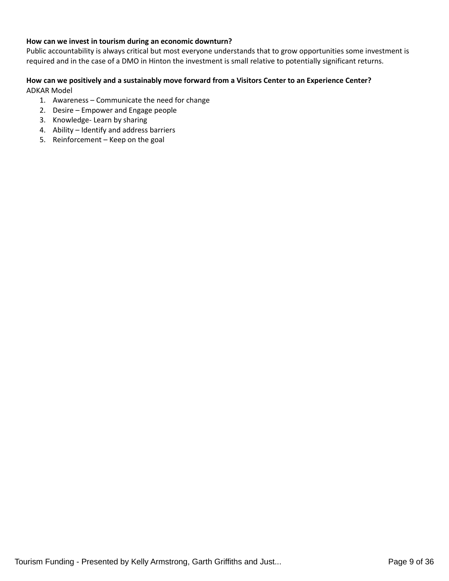#### **How can we invest in tourism during an economic downturn?**

Public accountability is always critical but most everyone understands that to grow opportunities some investment is required and in the case of a DMO in Hinton the investment is small relative to potentially significant returns.

### **How can we positively and a sustainably move forward from a Visitors Center to an Experience Center?** ADKAR Model

- 1. Awareness Communicate the need for change
- 2. Desire Empower and Engage people
- 3. Knowledge- Learn by sharing
- 4. Ability Identify and address barriers
- 5. Reinforcement Keep on the goal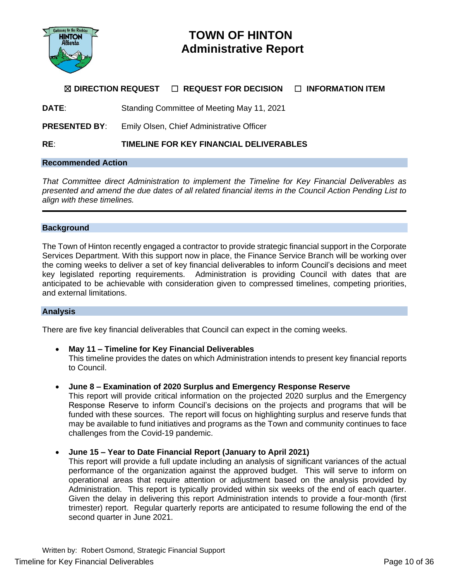

# **TOWN OF HINTON Administrative Report**

# ☒ **DIRECTION REQUEST** ☐ **REQUEST FOR DECISION** ☐ **INFORMATION ITEM**

**DATE**: Standing Committee of Meeting May 11, 2021

**PRESENTED BY**: Emily Olsen, Chief Administrative Officer

## **RE**: **TIMELINE FOR KEY FINANCIAL DELIVERABLES**

## **Recommended Action**

*That Committee direct Administration to implement the Timeline for Key Financial Deliverables as presented and amend the due dates of all related financial items in the Council Action Pending List to align with these timelines.*

#### **Background**

The Town of Hinton recently engaged a contractor to provide strategic financial support in the Corporate Services Department. With this support now in place, the Finance Service Branch will be working over the coming weeks to deliver a set of key financial deliverables to inform Council's decisions and meet key legislated reporting requirements. Administration is providing Council with dates that are anticipated to be achievable with consideration given to compressed timelines, competing priorities, and external limitations.

#### **Analysis**

There are five key financial deliverables that Council can expect in the coming weeks.

- **May 11 – Timeline for Key Financial Deliverables** This timeline provides the dates on which Administration intends to present key financial reports to Council.
- **June 8 – Examination of 2020 Surplus and Emergency Response Reserve**

This report will provide critical information on the projected 2020 surplus and the Emergency Response Reserve to inform Council's decisions on the projects and programs that will be funded with these sources. The report will focus on highlighting surplus and reserve funds that may be available to fund initiatives and programs as the Town and community continues to face challenges from the Covid-19 pandemic.

#### • **June 15 – Year to Date Financial Report (January to April 2021)**

This report will provide a full update including an analysis of significant variances of the actual performance of the organization against the approved budget. This will serve to inform on operational areas that require attention or adjustment based on the analysis provided by Administration. This report is typically provided within six weeks of the end of each quarter. Given the delay in delivering this report Administration intends to provide a four-month (first trimester) report. Regular quarterly reports are anticipated to resume following the end of the second quarter in June 2021.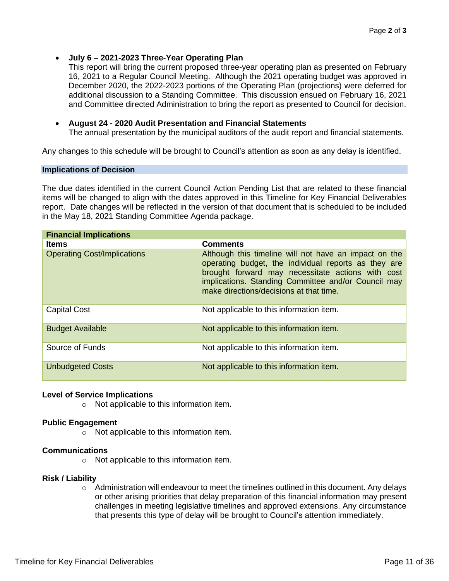• **July 6 – 2021-2023 Three-Year Operating Plan**

This report will bring the current proposed three-year operating plan as presented on February 16, 2021 to a Regular Council Meeting. Although the 2021 operating budget was approved in December 2020, the 2022-2023 portions of the Operating Plan (projections) were deferred for additional discussion to a Standing Committee. This discussion ensued on February 16, 2021 and Committee directed Administration to bring the report as presented to Council for decision.

## • **August 24 - 2020 Audit Presentation and Financial Statements**

The annual presentation by the municipal auditors of the audit report and financial statements.

Any changes to this schedule will be brought to Council's attention as soon as any delay is identified.

#### **Implications of Decision**

The due dates identified in the current Council Action Pending List that are related to these financial items will be changed to align with the dates approved in this Timeline for Key Financial Deliverables report. Date changes will be reflected in the version of that document that is scheduled to be included in the May 18, 2021 Standing Committee Agenda package.

| <b>Financial Implications</b>      |                                                                                                                                                                                                                                                                      |  |  |  |
|------------------------------------|----------------------------------------------------------------------------------------------------------------------------------------------------------------------------------------------------------------------------------------------------------------------|--|--|--|
| <b>Items</b>                       | <b>Comments</b>                                                                                                                                                                                                                                                      |  |  |  |
| <b>Operating Cost/Implications</b> | Although this timeline will not have an impact on the<br>operating budget, the individual reports as they are<br>brought forward may necessitate actions with cost<br>implications. Standing Committee and/or Council may<br>make directions/decisions at that time. |  |  |  |
| <b>Capital Cost</b>                | Not applicable to this information item.                                                                                                                                                                                                                             |  |  |  |
| <b>Budget Available</b>            | Not applicable to this information item.                                                                                                                                                                                                                             |  |  |  |
| Source of Funds                    | Not applicable to this information item.                                                                                                                                                                                                                             |  |  |  |
| <b>Unbudgeted Costs</b>            | Not applicable to this information item.                                                                                                                                                                                                                             |  |  |  |

#### **Level of Service Implications**

o Not applicable to this information item.

#### **Public Engagement**

o Not applicable to this information item.

#### **Communications**

o Not applicable to this information item.

#### **Risk / Liability**

 $\circ$  Administration will endeavour to meet the timelines outlined in this document. Any delays or other arising priorities that delay preparation of this financial information may present challenges in meeting legislative timelines and approved extensions. Any circumstance that presents this type of delay will be brought to Council's attention immediately.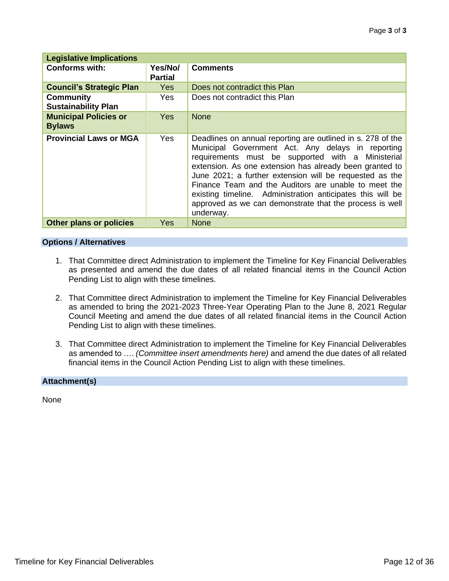| <b>Legislative Implications</b>                |                           |                                                                                                                                                                                                                                                                                                                                                                                                                                                                                           |  |  |
|------------------------------------------------|---------------------------|-------------------------------------------------------------------------------------------------------------------------------------------------------------------------------------------------------------------------------------------------------------------------------------------------------------------------------------------------------------------------------------------------------------------------------------------------------------------------------------------|--|--|
| <b>Conforms with:</b>                          | Yes/No/<br><b>Partial</b> | <b>Comments</b>                                                                                                                                                                                                                                                                                                                                                                                                                                                                           |  |  |
| <b>Council's Strategic Plan</b>                | <b>Yes</b>                | Does not contradict this Plan                                                                                                                                                                                                                                                                                                                                                                                                                                                             |  |  |
| <b>Community</b><br><b>Sustainability Plan</b> | Yes                       | Does not contradict this Plan                                                                                                                                                                                                                                                                                                                                                                                                                                                             |  |  |
| <b>Municipal Policies or</b><br><b>Bylaws</b>  | Yes.                      | <b>None</b>                                                                                                                                                                                                                                                                                                                                                                                                                                                                               |  |  |
| <b>Provincial Laws or MGA</b>                  | Yes                       | Deadlines on annual reporting are outlined in s. 278 of the<br>Municipal Government Act. Any delays in reporting<br>requirements must be supported with a Ministerial<br>extension. As one extension has already been granted to<br>June 2021; a further extension will be requested as the<br>Finance Team and the Auditors are unable to meet the<br>existing timeline. Administration anticipates this will be<br>approved as we can demonstrate that the process is well<br>underway. |  |  |
| <b>Other plans or policies</b>                 | Yes                       | <b>None</b>                                                                                                                                                                                                                                                                                                                                                                                                                                                                               |  |  |

### **Options / Alternatives**

- 1. That Committee direct Administration to implement the Timeline for Key Financial Deliverables as presented and amend the due dates of all related financial items in the Council Action Pending List to align with these timelines.
- 2. That Committee direct Administration to implement the Timeline for Key Financial Deliverables as amended to bring the 2021-2023 Three-Year Operating Plan to the June 8, 2021 Regular Council Meeting and amend the due dates of all related financial items in the Council Action Pending List to align with these timelines.
- 3. That Committee direct Administration to implement the Timeline for Key Financial Deliverables as amended to …. *(Committee insert amendments here)* and amend the due dates of all related financial items in the Council Action Pending List to align with these timelines.

## **Attachment(s)**

None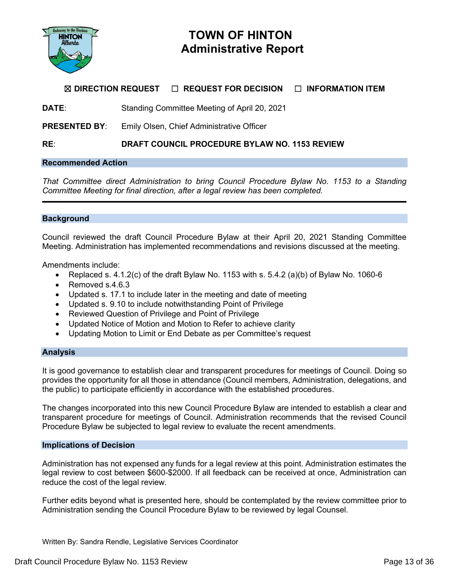

# **TOWN OF HINTON Administrative Report**

# ☒ **DIRECTION REQUEST** ☐ **REQUEST FOR DECISION** ☐ **INFORMATION ITEM**

**DATE**: Standing Committee Meeting of April 20, 2021

**PRESENTED BY**: Emily Olsen, Chief Administrative Officer

**RE**: **DRAFT COUNCIL PROCEDURE BYLAW NO. 1153 REVIEW**

### **Recommended Action**

*That Committee direct Administration to bring Council Procedure Bylaw No. 1153 to a Standing Committee Meeting for final direction, after a legal review has been completed.*

### **Background**

Council reviewed the draft Council Procedure Bylaw at their April 20, 2021 Standing Committee Meeting. Administration has implemented recommendations and revisions discussed at the meeting.

Amendments include:

- Replaced s. 4.1.2(c) of the draft Bylaw No. 1153 with s.  $5.4.2$  (a)(b) of Bylaw No. 1060-6
- Removed s.4.6.3
- Updated s. 17.1 to include later in the meeting and date of meeting
- Updated s. 9.10 to include notwithstanding Point of Privilege
- Reviewed Question of Privilege and Point of Privilege
- Updated Notice of Motion and Motion to Refer to achieve clarity
- Updating Motion to Limit or End Debate as per Committee's request

#### **Analysis**

It is good governance to establish clear and transparent procedures for meetings of Council. Doing so provides the opportunity for all those in attendance (Council members, Administration, delegations, and the public) to participate efficiently in accordance with the established procedures.

The changes incorporated into this new Council Procedure Bylaw are intended to establish a clear and transparent procedure for meetings of Council. Administration recommends that the revised Council Procedure Bylaw be subjected to legal review to evaluate the recent amendments.

#### **Implications of Decision**

Administration has not expensed any funds for a legal review at this point. Administration estimates the legal review to cost between \$600-\$2000. If all feedback can be received at once, Administration can reduce the cost of the legal review.

Further edits beyond what is presented here, should be contemplated by the review committee prior to Administration sending the Council Procedure Bylaw to be reviewed by legal Counsel.

Written By: Sandra Rendle, Legislative Services Coordinator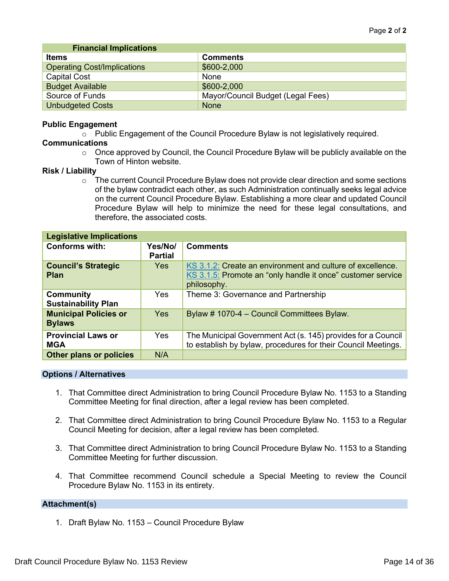| <b>Financial Implications</b>      |                                   |
|------------------------------------|-----------------------------------|
| <b>Items</b>                       | <b>Comments</b>                   |
| <b>Operating Cost/Implications</b> | \$600-2,000                       |
| <b>Capital Cost</b>                | None                              |
| <b>Budget Available</b>            | \$600-2,000                       |
| Source of Funds                    | Mayor/Council Budget (Legal Fees) |
| <b>Unbudgeted Costs</b>            | <b>None</b>                       |

#### **Public Engagement**

 $\circ$  Public Engagement of the Council Procedure Bylaw is not legislatively required.

#### **Communications**

 $\circ$  Once approved by Council, the Council Procedure Bylaw will be publicly available on the Town of Hinton website.

### **Risk / Liability**

 $\circ$  The current Council Procedure Bylaw does not provide clear direction and some sections of the bylaw contradict each other, as such Administration continually seeks legal advice on the current Council Procedure Bylaw. Establishing a more clear and updated Council Procedure Bylaw will help to minimize the need for these legal consultations, and therefore, the associated costs.

| <b>Legislative Implications</b>                |                           |                                                                                                                                          |  |
|------------------------------------------------|---------------------------|------------------------------------------------------------------------------------------------------------------------------------------|--|
| <b>Conforms with:</b>                          | Yes/No/<br><b>Partial</b> | <b>Comments</b>                                                                                                                          |  |
| <b>Council's Strategic</b><br><b>Plan</b>      | <b>Yes</b>                | KS 3.1.2: Create an environment and culture of excellence.<br>KS 3.1.5: Promote an "only handle it once" customer service<br>philosophy. |  |
| <b>Community</b><br><b>Sustainability Plan</b> | <b>Yes</b>                | Theme 3: Governance and Partnership                                                                                                      |  |
| <b>Municipal Policies or</b><br><b>Bylaws</b>  | <b>Yes</b>                | Bylaw # 1070-4 - Council Committees Bylaw.                                                                                               |  |
| <b>Provincial Laws or</b><br><b>MGA</b>        | <b>Yes</b>                | The Municipal Government Act (s. 145) provides for a Council<br>to establish by bylaw, procedures for their Council Meetings.            |  |
| <b>Other plans or policies</b>                 | N/A                       |                                                                                                                                          |  |

#### **Options / Alternatives**

- 1. That Committee direct Administration to bring Council Procedure Bylaw No. 1153 to a Standing Committee Meeting for final direction, after a legal review has been completed.
- 2. That Committee direct Administration to bring Council Procedure Bylaw No. 1153 to a Regular Council Meeting for decision, after a legal review has been completed.
- 3. That Committee direct Administration to bring Council Procedure Bylaw No. 1153 to a Standing Committee Meeting for further discussion.
- 4. That Committee recommend Council schedule a Special Meeting to review the Council Procedure Bylaw No. 1153 in its entirety.

## **Attachment(s)**

1. Draft Bylaw No. 1153 – Council Procedure Bylaw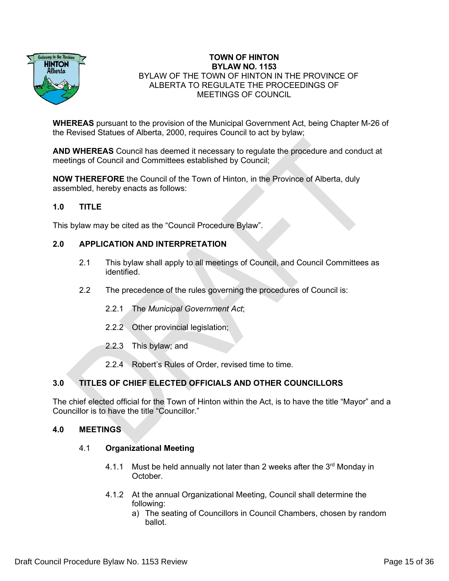

## **TOWN OF HINTON BYLAW NO. 1153** BYLAW OF THE TOWN OF HINTON IN THE PROVINCE OF ALBERTA TO REGULATE THE PROCEEDINGS OF MEETINGS OF COUNCIL

**WHEREAS** pursuant to the provision of the Municipal Government Act, being Chapter M-26 of the Revised Statues of Alberta, 2000, requires Council to act by bylaw;

**AND WHEREAS** Council has deemed it necessary to regulate the procedure and conduct at meetings of Council and Committees established by Council;

**NOW THEREFORE** the Council of the Town of Hinton, in the Province of Alberta, duly assembled, hereby enacts as follows:

## **1.0 TITLE**

This bylaw may be cited as the "Council Procedure Bylaw".

## **2.0 APPLICATION AND INTERPRETATION**

- 2.1 This bylaw shall apply to all meetings of Council, and Council Committees as identified.
- 2.2 The precedence of the rules governing the procedures of Council is:
	- 2.2.1 The *Municipal Government Act*;
	- 2.2.2 Other provincial legislation;
	- 2.2.3 This bylaw; and
	- 2.2.4 Robert's Rules of Order, revised time to time.

## **3.0 TITLES OF CHIEF ELECTED OFFICIALS AND OTHER COUNCILLORS**

The chief elected official for the Town of Hinton within the Act, is to have the title "Mayor" and a Councillor is to have the title "Councillor."

## **4.0 MEETINGS**

#### 4.1 **Organizational Meeting**

- 4.1.1 Must be held annually not later than 2 weeks after the  $3<sup>rd</sup>$  Monday in October.
- 4.1.2 At the annual Organizational Meeting, Council shall determine the following:
	- a) The seating of Councillors in Council Chambers, chosen by random ballot.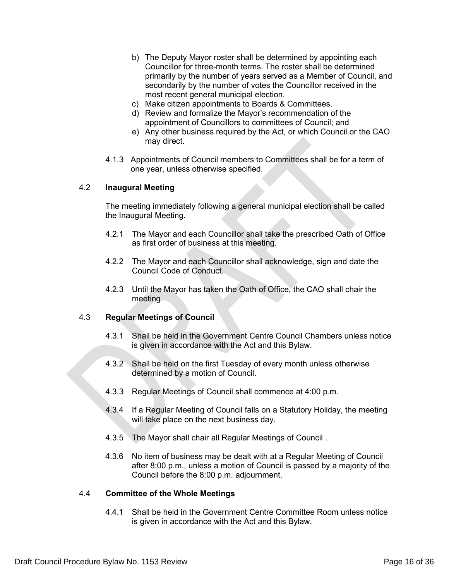- b) The Deputy Mayor roster shall be determined by appointing each Councillor for three-month terms. The roster shall be determined primarily by the number of years served as a Member of Council, and secondarily by the number of votes the Councillor received in the most recent general municipal election.
- c) Make citizen appointments to Boards & Committees.
- d) Review and formalize the Mayor's recommendation of the appointment of Councillors to committees of Council; and
- e) Any other business required by the Act, or which Council or the CAO may direct.
- 4.1.3 Appointments of Council members to Committees shall be for a term of one year, unless otherwise specified.

### 4.2 **Inaugural Meeting**

The meeting immediately following a general municipal election shall be called the Inaugural Meeting.

- 4.2.1 The Mayor and each Councillor shall take the prescribed Oath of Office as first order of business at this meeting.
- 4.2.2 The Mayor and each Councillor shall acknowledge, sign and date the Council Code of Conduct.
- 4.2.3 Until the Mayor has taken the Oath of Office, the CAO shall chair the meeting.

## 4.3 **Regular Meetings of Council**

- 4.3.1 Shall be held in the Government Centre Council Chambers unless notice is given in accordance with the Act and this Bylaw.
- 4.3.2 Shall be held on the first Tuesday of every month unless otherwise determined by a motion of Council.
- 4.3.3 Regular Meetings of Council shall commence at 4:00 p.m.
- 4.3.4 If a Regular Meeting of Council falls on a Statutory Holiday, the meeting will take place on the next business day.
- 4.3.5 The Mayor shall chair all Regular Meetings of Council .
- 4.3.6 No item of business may be dealt with at a Regular Meeting of Council after 8:00 p.m., unless a motion of Council is passed by a majority of the Council before the 8:00 p.m. adjournment.

#### 4.4 **Committee of the Whole Meetings**

4.4.1 Shall be held in the Government Centre Committee Room unless notice is given in accordance with the Act and this Bylaw.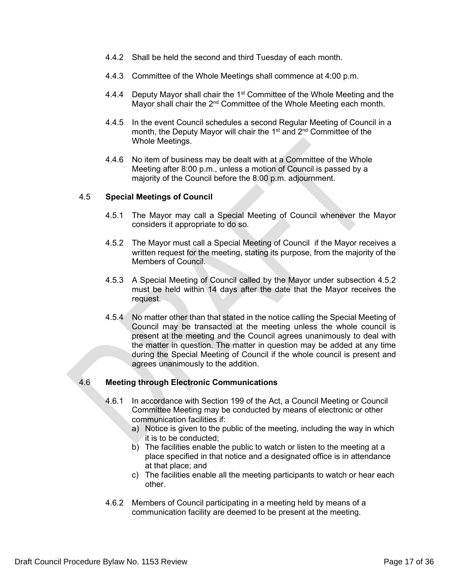- 4.4.2 Shall be held the second and third Tuesday of each month.
- 4.4.3 Committee of the Whole Meetings shall commence at 4:00 p.m.
- 4.4.4 Deputy Mayor shall chair the 1<sup>st</sup> Committee of the Whole Meeting and the Mayor shall chair the 2<sup>nd</sup> Committee of the Whole Meeting each month.
- 4.4.5 In the event Council schedules a second Regular Meeting of Council in a month, the Deputy Mayor will chair the 1<sup>st</sup> and 2<sup>nd</sup> Committee of the Whole Meetings.
- 4.4.6 No item of business may be dealt with at a Committee of the Whole Meeting after 8:00 p.m., unless a motion of Council is passed by a majority of the Council before the 8:00 p.m. adjournment.

### 4.5 **Special Meetings of Council**

- 4.5.1 The Mayor may call a Special Meeting of Council whenever the Mayor considers it appropriate to do so.
- 4.5.2 The Mayor must call a Special Meeting of Council if the Mayor receives a written request for the meeting, stating its purpose, from the majority of the Members of Council.
- 4.5.3 A Special Meeting of Council called by the Mayor under subsection 4.5.2 must be held within 14 days after the date that the Mayor receives the request.
- 4.5.4 No matter other than that stated in the notice calling the Special Meeting of Council may be transacted at the meeting unless the whole council is present at the meeting and the Council agrees unanimously to deal with the matter in question. The matter in question may be added at any time during the Special Meeting of Council if the whole council is present and agrees unanimously to the addition.

## 4.6 **Meeting through Electronic Communications**

- 4.6.1 In accordance with Section 199 of the Act, a Council Meeting or Council Committee Meeting may be conducted by means of electronic or other communication facilities if:
	- a) Notice is given to the public of the meeting, including the way in which it is to be conducted;
	- b) The facilities enable the public to watch or listen to the meeting at a place specified in that notice and a designated office is in attendance at that place; and
	- c) The facilities enable all the meeting participants to watch or hear each other.
- 4.6.2 Members of Council participating in a meeting held by means of a communication facility are deemed to be present at the meeting.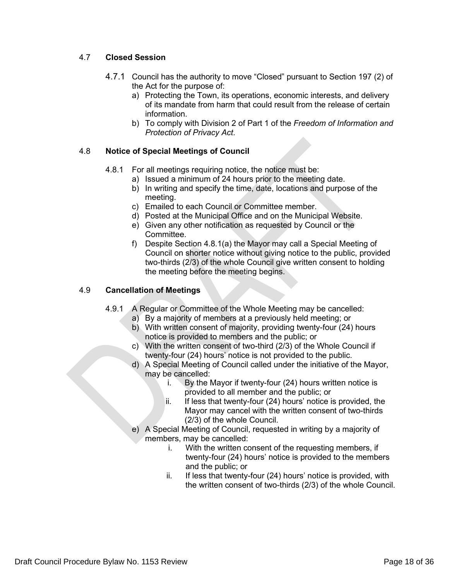## 4.7 **Closed Session**

- 4.7.1 Council has the authority to move "Closed" pursuant to Section 197 (2) of the Act for the purpose of:
	- a) Protecting the Town, its operations, economic interests, and delivery of its mandate from harm that could result from the release of certain information.
	- b) To comply with Division 2 of Part 1 of the *Freedom of Information and Protection of Privacy Act*.

## 4.8 **Notice of Special Meetings of Council**

- 4.8.1 For all meetings requiring notice, the notice must be:
	- a) Issued a minimum of 24 hours prior to the meeting date.
	- b) In writing and specify the time, date, locations and purpose of the meeting.
	- c) Emailed to each Council or Committee member.
	- d) Posted at the Municipal Office and on the Municipal Website.
	- e) Given any other notification as requested by Council or the Committee.
	- f) Despite Section 4.8.1(a) the Mayor may call a Special Meeting of Council on shorter notice without giving notice to the public, provided two-thirds (2/3) of the whole Council give written consent to holding the meeting before the meeting begins.

## 4.9 **Cancellation of Meetings**

- 4.9.1 A Regular or Committee of the Whole Meeting may be cancelled:
	- a) By a majority of members at a previously held meeting; or
	- b) With written consent of majority, providing twenty-four (24) hours notice is provided to members and the public; or
	- c) With the written consent of two-third (2/3) of the Whole Council if twenty-four (24) hours' notice is not provided to the public.
	- d) A Special Meeting of Council called under the initiative of the Mayor, may be cancelled:
		- i. By the Mayor if twenty-four (24) hours written notice is provided to all member and the public; or
		- ii. If less that twenty-four (24) hours' notice is provided, the Mayor may cancel with the written consent of two-thirds (2/3) of the whole Council.
	- e) A Special Meeting of Council, requested in writing by a majority of members, may be cancelled:
		- i. With the written consent of the requesting members, if twenty-four (24) hours' notice is provided to the members and the public; or
		- ii. If less that twenty-four (24) hours' notice is provided, with the written consent of two-thirds (2/3) of the whole Council.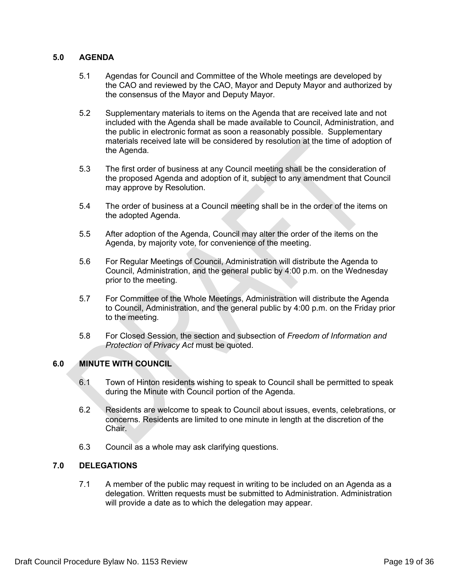## **5.0 AGENDA**

- 5.1 Agendas for Council and Committee of the Whole meetings are developed by the CAO and reviewed by the CAO, Mayor and Deputy Mayor and authorized by the consensus of the Mayor and Deputy Mayor.
- 5.2 Supplementary materials to items on the Agenda that are received late and not included with the Agenda shall be made available to Council, Administration, and the public in electronic format as soon a reasonably possible. Supplementary materials received late will be considered by resolution at the time of adoption of the Agenda.
- 5.3 The first order of business at any Council meeting shall be the consideration of the proposed Agenda and adoption of it, subject to any amendment that Council may approve by Resolution.
- 5.4 The order of business at a Council meeting shall be in the order of the items on the adopted Agenda.
- 5.5 After adoption of the Agenda, Council may alter the order of the items on the Agenda, by majority vote, for convenience of the meeting.
- 5.6 For Regular Meetings of Council, Administration will distribute the Agenda to Council, Administration, and the general public by 4:00 p.m. on the Wednesday prior to the meeting.
- 5.7 For Committee of the Whole Meetings, Administration will distribute the Agenda to Council, Administration, and the general public by 4:00 p.m. on the Friday prior to the meeting.
- 5.8 For Closed Session, the section and subsection of *Freedom of Information and Protection of Privacy Act* must be quoted.

## **6.0 MINUTE WITH COUNCIL**

- 6.1 Town of Hinton residents wishing to speak to Council shall be permitted to speak during the Minute with Council portion of the Agenda.
- 6.2 Residents are welcome to speak to Council about issues, events, celebrations, or concerns. Residents are limited to one minute in length at the discretion of the Chair.
- 6.3 Council as a whole may ask clarifying questions.

## **7.0 DELEGATIONS**

7.1 A member of the public may request in writing to be included on an Agenda as a delegation. Written requests must be submitted to Administration. Administration will provide a date as to which the delegation may appear.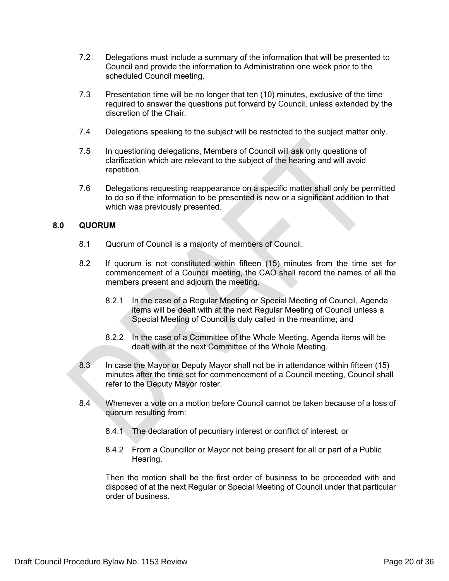- 7.2 Delegations must include a summary of the information that will be presented to Council and provide the information to Administration one week prior to the scheduled Council meeting.
- 7.3 Presentation time will be no longer that ten (10) minutes, exclusive of the time required to answer the questions put forward by Council, unless extended by the discretion of the Chair.
- 7.4 Delegations speaking to the subject will be restricted to the subject matter only.
- 7.5 In questioning delegations, Members of Council will ask only questions of clarification which are relevant to the subject of the hearing and will avoid repetition.
- 7.6 Delegations requesting reappearance on a specific matter shall only be permitted to do so if the information to be presented is new or a significant addition to that which was previously presented.

## **8.0 QUORUM**

- 8.1 Quorum of Council is a majority of members of Council.
- 8.2 If quorum is not constituted within fifteen (15) minutes from the time set for commencement of a Council meeting, the CAO shall record the names of all the members present and adjourn the meeting.
	- 8.2.1 In the case of a Regular Meeting or Special Meeting of Council, Agenda items will be dealt with at the next Regular Meeting of Council unless a Special Meeting of Council is duly called in the meantime; and
	- 8.2.2 In the case of a Committee of the Whole Meeting, Agenda items will be dealt with at the next Committee of the Whole Meeting.
- 8.3 In case the Mayor or Deputy Mayor shall not be in attendance within fifteen (15) minutes after the time set for commencement of a Council meeting, Council shall refer to the Deputy Mayor roster.
- 8.4 Whenever a vote on a motion before Council cannot be taken because of a loss of quorum resulting from:
	- 8.4.1 The declaration of pecuniary interest or conflict of interest; or
	- 8.4.2 From a Councillor or Mayor not being present for all or part of a Public Hearing.

Then the motion shall be the first order of business to be proceeded with and disposed of at the next Regular or Special Meeting of Council under that particular order of business.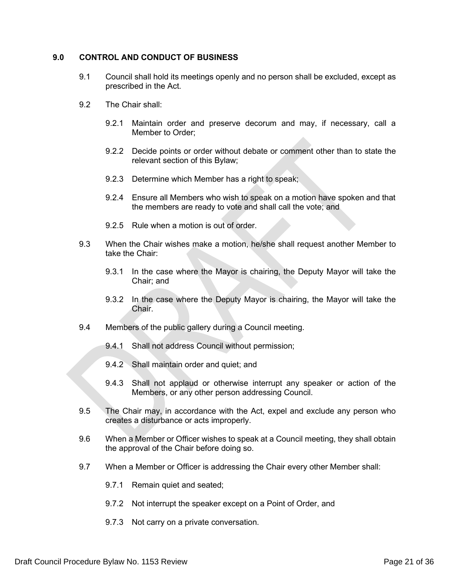### **9.0 CONTROL AND CONDUCT OF BUSINESS**

- 9.1 Council shall hold its meetings openly and no person shall be excluded, except as prescribed in the Act.
- 9.2 The Chair shall:
	- 9.2.1 Maintain order and preserve decorum and may, if necessary, call a Member to Order;
	- 9.2.2 Decide points or order without debate or comment other than to state the relevant section of this Bylaw;
	- 9.2.3 Determine which Member has a right to speak;
	- 9.2.4 Ensure all Members who wish to speak on a motion have spoken and that the members are ready to vote and shall call the vote; and
	- 9.2.5 Rule when a motion is out of order.
- 9.3 When the Chair wishes make a motion, he/she shall request another Member to take the Chair:
	- 9.3.1 In the case where the Mayor is chairing, the Deputy Mayor will take the Chair; and
	- 9.3.2 In the case where the Deputy Mayor is chairing, the Mayor will take the Chair.
- 9.4 Members of the public gallery during a Council meeting.
	- 9.4.1 Shall not address Council without permission;
	- 9.4.2 Shall maintain order and quiet; and
	- 9.4.3 Shall not applaud or otherwise interrupt any speaker or action of the Members, or any other person addressing Council.
- 9.5 The Chair may, in accordance with the Act, expel and exclude any person who creates a disturbance or acts improperly.
- 9.6 When a Member or Officer wishes to speak at a Council meeting, they shall obtain the approval of the Chair before doing so.
- 9.7 When a Member or Officer is addressing the Chair every other Member shall:
	- 9.7.1 Remain quiet and seated;
	- 9.7.2 Not interrupt the speaker except on a Point of Order, and
	- 9.7.3 Not carry on a private conversation.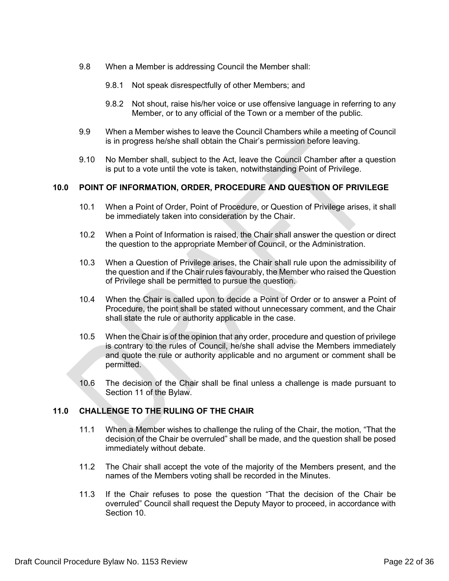- 9.8 When a Member is addressing Council the Member shall:
	- 9.8.1 Not speak disrespectfully of other Members; and
	- 9.8.2 Not shout, raise his/her voice or use offensive language in referring to any Member, or to any official of the Town or a member of the public.
- 9.9 When a Member wishes to leave the Council Chambers while a meeting of Council is in progress he/she shall obtain the Chair's permission before leaving.
- 9.10 No Member shall, subject to the Act, leave the Council Chamber after a question is put to a vote until the vote is taken, notwithstanding Point of Privilege.

### **10.0 POINT OF INFORMATION, ORDER, PROCEDURE AND QUESTION OF PRIVILEGE**

- 10.1 When a Point of Order, Point of Procedure, or Question of Privilege arises, it shall be immediately taken into consideration by the Chair.
- 10.2 When a Point of Information is raised, the Chair shall answer the question or direct the question to the appropriate Member of Council, or the Administration.
- 10.3 When a Question of Privilege arises, the Chair shall rule upon the admissibility of the question and if the Chair rules favourably, the Member who raised the Question of Privilege shall be permitted to pursue the question.
- 10.4 When the Chair is called upon to decide a Point of Order or to answer a Point of Procedure, the point shall be stated without unnecessary comment, and the Chair shall state the rule or authority applicable in the case.
- 10.5 When the Chair is of the opinion that any order, procedure and question of privilege is contrary to the rules of Council, he/she shall advise the Members immediately and quote the rule or authority applicable and no argument or comment shall be permitted.
- 10.6 The decision of the Chair shall be final unless a challenge is made pursuant to Section 11 of the Bylaw.

## **11.0 CHALLENGE TO THE RULING OF THE CHAIR**

- 11.1 When a Member wishes to challenge the ruling of the Chair, the motion, "That the decision of the Chair be overruled" shall be made, and the question shall be posed immediately without debate.
- 11.2 The Chair shall accept the vote of the majority of the Members present, and the names of the Members voting shall be recorded in the Minutes.
- 11.3 If the Chair refuses to pose the question "That the decision of the Chair be overruled" Council shall request the Deputy Mayor to proceed, in accordance with Section 10.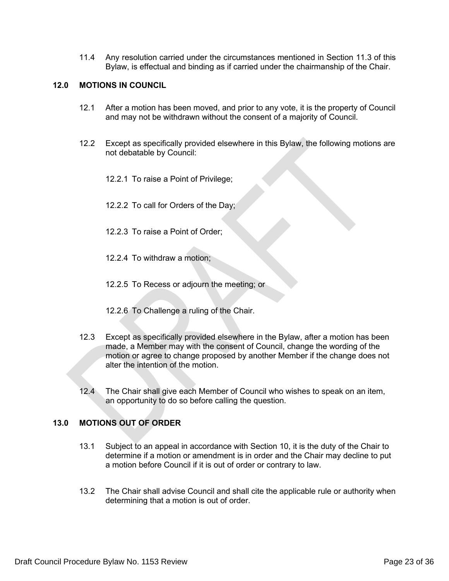11.4 Any resolution carried under the circumstances mentioned in Section 11.3 of this Bylaw, is effectual and binding as if carried under the chairmanship of the Chair.

## **12.0 MOTIONS IN COUNCIL**

- 12.1 After a motion has been moved, and prior to any vote, it is the property of Council and may not be withdrawn without the consent of a majority of Council.
- 12.2 Except as specifically provided elsewhere in this Bylaw, the following motions are not debatable by Council:
	- 12.2.1 To raise a Point of Privilege;
	- 12.2.2 To call for Orders of the Day;
	- 12.2.3 To raise a Point of Order;
	- 12.2.4 To withdraw a motion;
	- 12.2.5 To Recess or adjourn the meeting; or
	- 12.2.6 To Challenge a ruling of the Chair.
- 12.3 Except as specifically provided elsewhere in the Bylaw, after a motion has been made, a Member may with the consent of Council, change the wording of the motion or agree to change proposed by another Member if the change does not alter the intention of the motion.
- 12.4 The Chair shall give each Member of Council who wishes to speak on an item, an opportunity to do so before calling the question.

## **13.0 MOTIONS OUT OF ORDER**

- 13.1 Subject to an appeal in accordance with Section 10, it is the duty of the Chair to determine if a motion or amendment is in order and the Chair may decline to put a motion before Council if it is out of order or contrary to law.
- 13.2 The Chair shall advise Council and shall cite the applicable rule or authority when determining that a motion is out of order.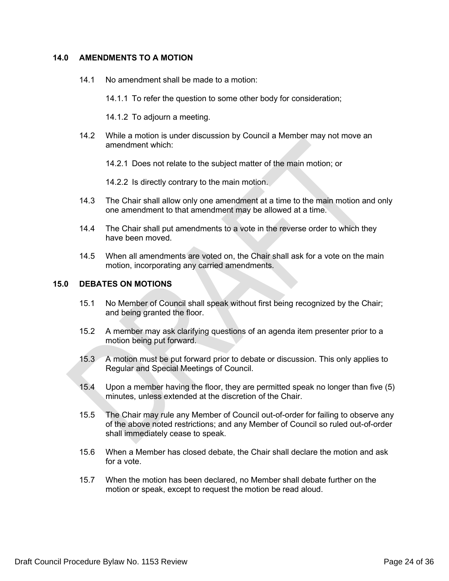## **14.0 AMENDMENTS TO A MOTION**

- 14.1 No amendment shall be made to a motion:
	- 14.1.1 To refer the question to some other body for consideration;
	- 14.1.2 To adjourn a meeting.
- 14.2 While a motion is under discussion by Council a Member may not move an amendment which:
	- 14.2.1 Does not relate to the subject matter of the main motion; or

14.2.2 Is directly contrary to the main motion.

- 14.3 The Chair shall allow only one amendment at a time to the main motion and only one amendment to that amendment may be allowed at a time.
- 14.4 The Chair shall put amendments to a vote in the reverse order to which they have been moved.
- 14.5 When all amendments are voted on, the Chair shall ask for a vote on the main motion, incorporating any carried amendments.

#### **15.0 DEBATES ON MOTIONS**

- 15.1 No Member of Council shall speak without first being recognized by the Chair; and being granted the floor.
- 15.2 A member may ask clarifying questions of an agenda item presenter prior to a motion being put forward.
- 15.3 A motion must be put forward prior to debate or discussion. This only applies to Regular and Special Meetings of Council.
- 15.4 Upon a member having the floor, they are permitted speak no longer than five (5) minutes, unless extended at the discretion of the Chair.
- 15.5 The Chair may rule any Member of Council out-of-order for failing to observe any of the above noted restrictions; and any Member of Council so ruled out-of-order shall immediately cease to speak.
- 15.6 When a Member has closed debate, the Chair shall declare the motion and ask for a vote.
- 15.7 When the motion has been declared, no Member shall debate further on the motion or speak, except to request the motion be read aloud.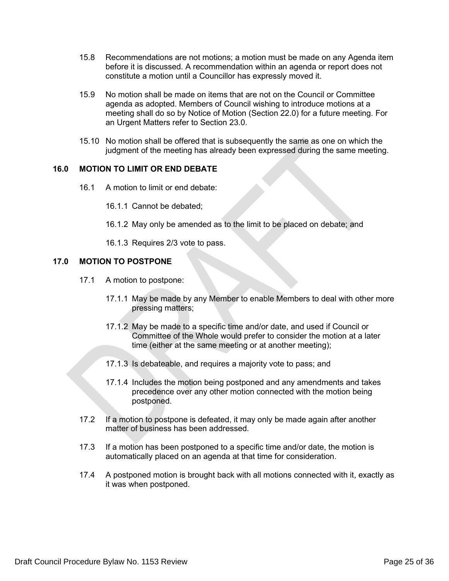- 15.8 Recommendations are not motions; a motion must be made on any Agenda item before it is discussed. A recommendation within an agenda or report does not constitute a motion until a Councillor has expressly moved it.
- 15.9 No motion shall be made on items that are not on the Council or Committee agenda as adopted. Members of Council wishing to introduce motions at a meeting shall do so by Notice of Motion (Section 22.0) for a future meeting. For an Urgent Matters refer to Section 23.0.
- 15.10 No motion shall be offered that is subsequently the same as one on which the judgment of the meeting has already been expressed during the same meeting.

### **16.0 MOTION TO LIMIT OR END DEBATE**

16.1 A motion to limit or end debate:

16.1.1 Cannot be debated;

16.1.2 May only be amended as to the limit to be placed on debate; and

16.1.3 Requires 2/3 vote to pass.

### **17.0 MOTION TO POSTPONE**

- 17.1 A motion to postpone:
	- 17.1.1 May be made by any Member to enable Members to deal with other more pressing matters;
	- 17.1.2 May be made to a specific time and/or date, and used if Council or Committee of the Whole would prefer to consider the motion at a later time (either at the same meeting or at another meeting);
	- 17.1.3 Is debateable, and requires a majority vote to pass; and
	- 17.1.4 Includes the motion being postponed and any amendments and takes precedence over any other motion connected with the motion being postponed.
- 17.2 If a motion to postpone is defeated, it may only be made again after another matter of business has been addressed.
- 17.3 If a motion has been postponed to a specific time and/or date, the motion is automatically placed on an agenda at that time for consideration.
- 17.4 A postponed motion is brought back with all motions connected with it, exactly as it was when postponed.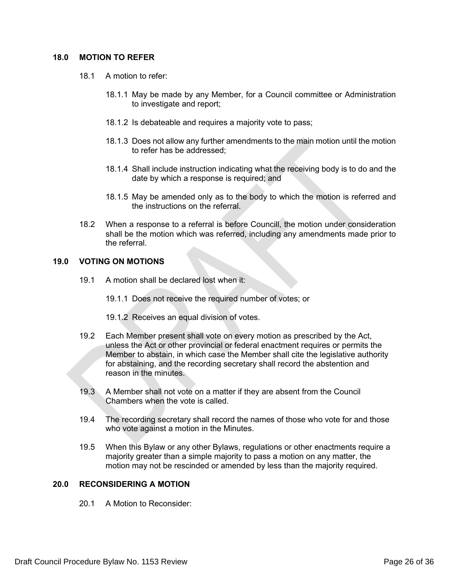### **18.0 MOTION TO REFER**

- 18.1 A motion to refer:
	- 18.1.1 May be made by any Member, for a Council committee or Administration to investigate and report;
	- 18.1.2 Is debateable and requires a majority vote to pass;
	- 18.1.3 Does not allow any further amendments to the main motion until the motion to refer has be addressed;
	- 18.1.4 Shall include instruction indicating what the receiving body is to do and the date by which a response is required; and
	- 18.1.5 May be amended only as to the body to which the motion is referred and the instructions on the referral.
- 18.2 When a response to a referral is before Councill, the motion under consideration shall be the motion which was referred, including any amendments made prior to the referral.

### **19.0 VOTING ON MOTIONS**

- 19.1 A motion shall be declared lost when it:
	- 19.1.1 Does not receive the required number of votes; or
	- 19.1.2 Receives an equal division of votes.
- 19.2 Each Member present shall vote on every motion as prescribed by the Act, unless the Act or other provincial or federal enactment requires or permits the Member to abstain, in which case the Member shall cite the legislative authority for abstaining, and the recording secretary shall record the abstention and reason in the minutes.
- 19.3 A Member shall not vote on a matter if they are absent from the Council Chambers when the vote is called.
- 19.4 The recording secretary shall record the names of those who vote for and those who vote against a motion in the Minutes.
- 19.5 When this Bylaw or any other Bylaws, regulations or other enactments require a majority greater than a simple majority to pass a motion on any matter, the motion may not be rescinded or amended by less than the majority required.

## **20.0 RECONSIDERING A MOTION**

20.1 A Motion to Reconsider: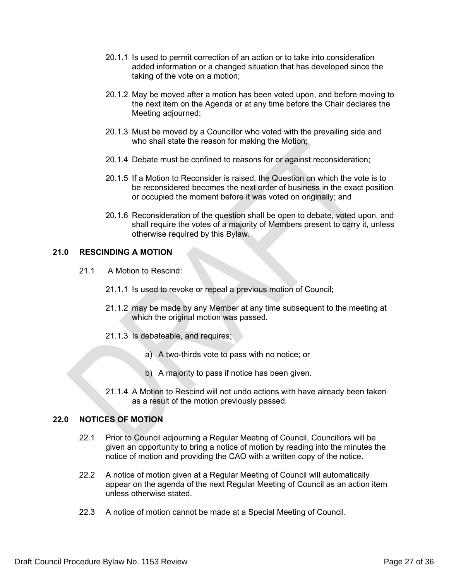- 20.1.1 Is used to permit correction of an action or to take into consideration added information or a changed situation that has developed since the taking of the vote on a motion;
- 20.1.2 May be moved after a motion has been voted upon, and before moving to the next item on the Agenda or at any time before the Chair declares the Meeting adjourned;
- 20.1.3 Must be moved by a Councillor who voted with the prevailing side and who shall state the reason for making the Motion;
- 20.1.4 Debate must be confined to reasons for or against reconsideration;
- 20.1.5 If a Motion to Reconsider is raised, the Question on which the vote is to be reconsidered becomes the next order of business in the exact position or occupied the moment before it was voted on originally; and
- 20.1.6 Reconsideration of the question shall be open to debate, voted upon, and shall require the votes of a majority of Members present to carry it, unless otherwise required by this Bylaw.

## **21.0 RESCINDING A MOTION**

- 21.1 A Motion to Rescind:
	- 21.1.1 Is used to revoke or repeal a previous motion of Council;
	- 21.1.2 may be made by any Member at any time subsequent to the meeting at which the original motion was passed.
	- 21.1.3 Is debateable, and requires;
		- a) A two-thirds vote to pass with no notice; or
		- b) A majority to pass if notice has been given.
	- 21.1.4 A Motion to Rescind will not undo actions with have already been taken as a result of the motion previously passed.

## **22.0 NOTICES OF MOTION**

- 22.1 Prior to Council adjourning a Regular Meeting of Council, Councillors will be given an opportunity to bring a notice of motion by reading into the minutes the notice of motion and providing the CAO with a written copy of the notice.
- 22.2 A notice of motion given at a Regular Meeting of Council will automatically appear on the agenda of the next Regular Meeting of Council as an action item unless otherwise stated.
- 22.3 A notice of motion cannot be made at a Special Meeting of Council.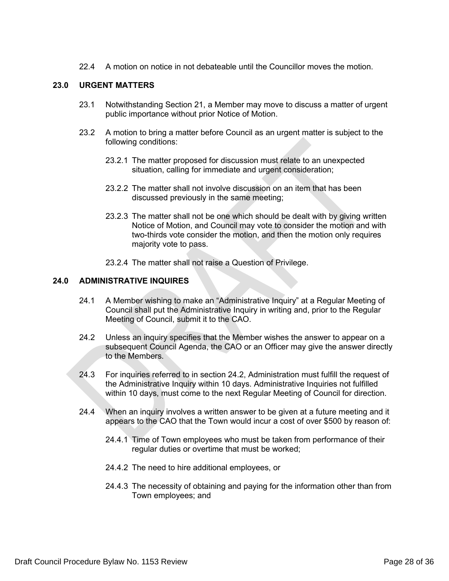22.4 A motion on notice in not debateable until the Councillor moves the motion.

## **23.0 URGENT MATTERS**

- 23.1 Notwithstanding Section 21, a Member may move to discuss a matter of urgent public importance without prior Notice of Motion.
- 23.2 A motion to bring a matter before Council as an urgent matter is subject to the following conditions:
	- 23.2.1 The matter proposed for discussion must relate to an unexpected situation, calling for immediate and urgent consideration;
	- 23.2.2.2 The matter shall not involve discussion on an item that has been discussed previously in the same meeting;
	- 23.2.3 The matter shall not be one which should be dealt with by giving written Notice of Motion, and Council may vote to consider the motion and with two-thirds vote consider the motion, and then the motion only requires majority vote to pass.
	- 23.2.4 The matter shall not raise a Question of Privilege.

#### **24.0 ADMINISTRATIVE INQUIRES**

- 24.1 A Member wishing to make an "Administrative Inquiry" at a Regular Meeting of Council shall put the Administrative Inquiry in writing and, prior to the Regular Meeting of Council, submit it to the CAO.
- 24.2 Unless an inquiry specifies that the Member wishes the answer to appear on a subsequent Council Agenda, the CAO or an Officer may give the answer directly to the Members.
- 24.3 For inquiries referred to in section 24.2, Administration must fulfill the request of the Administrative Inquiry within 10 days. Administrative Inquiries not fulfilled within 10 days, must come to the next Regular Meeting of Council for direction.
- 24.4 When an inquiry involves a written answer to be given at a future meeting and it appears to the CAO that the Town would incur a cost of over \$500 by reason of:
	- 24.4.1 Time of Town employees who must be taken from performance of their regular duties or overtime that must be worked;
	- 24.4.2 The need to hire additional employees, or
	- 24.4.3 The necessity of obtaining and paying for the information other than from Town employees; and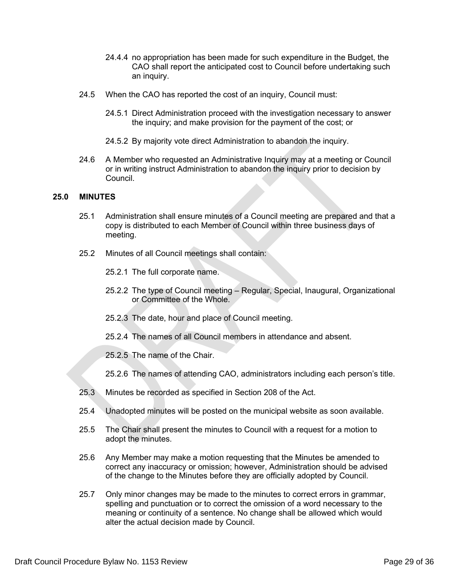- 24.4.4 no appropriation has been made for such expenditure in the Budget, the CAO shall report the anticipated cost to Council before undertaking such an inquiry.
- 24.5 When the CAO has reported the cost of an inquiry, Council must:
	- 24.5.1 Direct Administration proceed with the investigation necessary to answer the inquiry; and make provision for the payment of the cost; or
	- 24.5.2 By majority vote direct Administration to abandon the inquiry.
- 24.6 A Member who requested an Administrative Inquiry may at a meeting or Council or in writing instruct Administration to abandon the inquiry prior to decision by Council.

### **25.0 MINUTES**

- 25.1 Administration shall ensure minutes of a Council meeting are prepared and that a copy is distributed to each Member of Council within three business days of meeting.
- 25.2 Minutes of all Council meetings shall contain:

25.2.1 The full corporate name.

- 25.2.2 The type of Council meeting Regular, Special, Inaugural, Organizational or Committee of the Whole.
- 25.2.3 The date, hour and place of Council meeting.
- 25.2.4 The names of all Council members in attendance and absent.

25.2.5 The name of the Chair.

25.2.6 The names of attending CAO, administrators including each person's title.

- 25.3 Minutes be recorded as specified in Section 208 of the Act.
- 25.4 Unadopted minutes will be posted on the municipal website as soon available.
- 25.5 The Chair shall present the minutes to Council with a request for a motion to adopt the minutes.
- 25.6 Any Member may make a motion requesting that the Minutes be amended to correct any inaccuracy or omission; however, Administration should be advised of the change to the Minutes before they are officially adopted by Council.
- 25.7 Only minor changes may be made to the minutes to correct errors in grammar, spelling and punctuation or to correct the omission of a word necessary to the meaning or continuity of a sentence. No change shall be allowed which would alter the actual decision made by Council.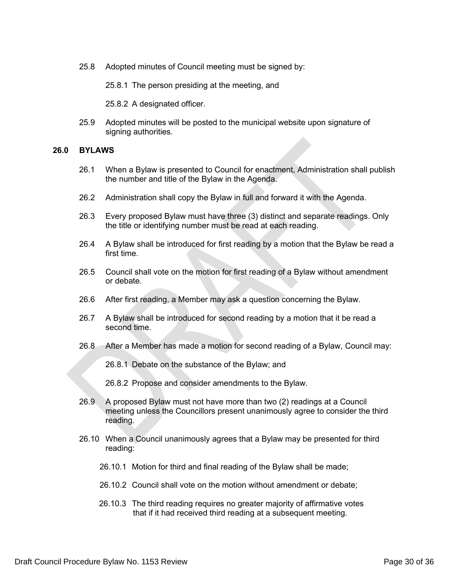25.8 Adopted minutes of Council meeting must be signed by:

25.8.1 The person presiding at the meeting, and

25.8.2 A designated officer.

25.9 Adopted minutes will be posted to the municipal website upon signature of signing authorities.

#### **26.0 BYLAWS**

- 26.1 When a Bylaw is presented to Council for enactment, Administration shall publish the number and title of the Bylaw in the Agenda.
- 26.2 Administration shall copy the Bylaw in full and forward it with the Agenda.
- 26.3 Every proposed Bylaw must have three (3) distinct and separate readings. Only the title or identifying number must be read at each reading.
- 26.4 A Bylaw shall be introduced for first reading by a motion that the Bylaw be read a first time.
- 26.5 Council shall vote on the motion for first reading of a Bylaw without amendment or debate.
- 26.6 After first reading, a Member may ask a question concerning the Bylaw.
- 26.7 A Bylaw shall be introduced for second reading by a motion that it be read a second time.
- 26.8 After a Member has made a motion for second reading of a Bylaw, Council may:

26.8.1 Debate on the substance of the Bylaw; and

26.8.2 Propose and consider amendments to the Bylaw.

- 26.9 A proposed Bylaw must not have more than two (2) readings at a Council meeting unless the Councillors present unanimously agree to consider the third reading.
- 26.10 When a Council unanimously agrees that a Bylaw may be presented for third reading:
	- 26.10.1 Motion for third and final reading of the Bylaw shall be made;
	- 26.10.2 Council shall vote on the motion without amendment or debate;
	- 26.10.3 The third reading requires no greater majority of affirmative votes that if it had received third reading at a subsequent meeting.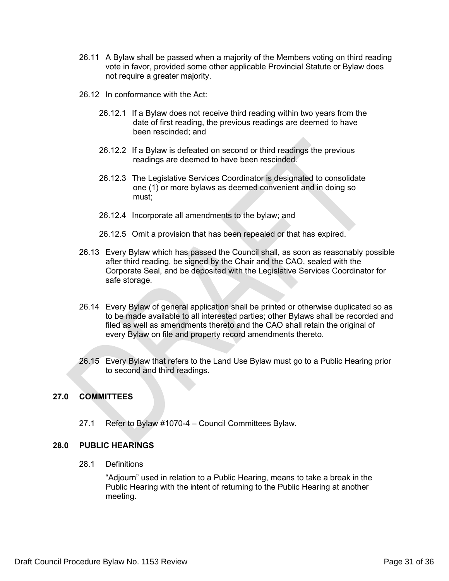- 26.11 A Bylaw shall be passed when a majority of the Members voting on third reading vote in favor, provided some other applicable Provincial Statute or Bylaw does not require a greater majority.
- 26.12 In conformance with the Act:
	- 26.12.1 If a Bylaw does not receive third reading within two years from the date of first reading, the previous readings are deemed to have been rescinded; and
	- 26.12.2 If a Bylaw is defeated on second or third readings the previous readings are deemed to have been rescinded.
	- 26.12.3 The Legislative Services Coordinator is designated to consolidate one (1) or more bylaws as deemed convenient and in doing so must;
	- 26.12.4 Incorporate all amendments to the bylaw; and
	- 26.12.5 Omit a provision that has been repealed or that has expired.
- 26.13 Every Bylaw which has passed the Council shall, as soon as reasonably possible after third reading, be signed by the Chair and the CAO, sealed with the Corporate Seal, and be deposited with the Legislative Services Coordinator for safe storage.
- 26.14 Every Bylaw of general application shall be printed or otherwise duplicated so as to be made available to all interested parties; other Bylaws shall be recorded and filed as well as amendments thereto and the CAO shall retain the original of every Bylaw on file and property record amendments thereto.
- 26.15 Every Bylaw that refers to the Land Use Bylaw must go to a Public Hearing prior to second and third readings.

# **27.0 COMMITTEES**

27.1 Refer to Bylaw #1070-4 – Council Committees Bylaw.

## **28.0 PUBLIC HEARINGS**

28.1 Definitions

"Adjourn" used in relation to a Public Hearing, means to take a break in the Public Hearing with the intent of returning to the Public Hearing at another meeting.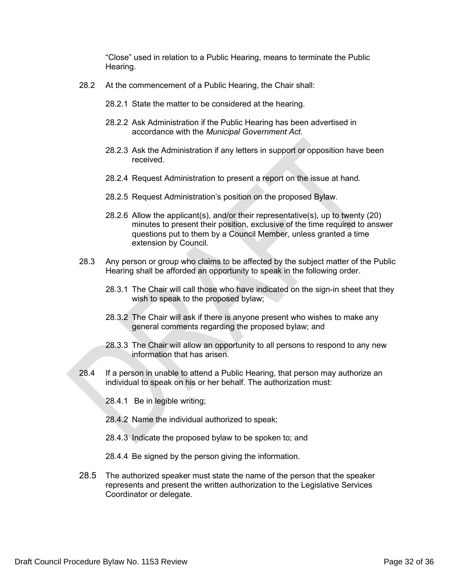"Close" used in relation to a Public Hearing, means to terminate the Public Hearing.

- 28.2 At the commencement of a Public Hearing, the Chair shall:
	- 28.2.1 State the matter to be considered at the hearing.
	- 28.2.2 Ask Administration if the Public Hearing has been advertised in accordance with the *Municipal Government Act*.
	- 28.2.3 Ask the Administration if any letters in support or opposition have been received.
	- 28.2.4 Request Administration to present a report on the issue at hand.
	- 28.2.5 Request Administration's position on the proposed Bylaw.
	- 28.2.6 Allow the applicant(s), and/or their representative(s), up to twenty (20) minutes to present their position, exclusive of the time required to answer questions put to them by a Council Member, unless granted a time extension by Council.
- 28.3 Any person or group who claims to be affected by the subject matter of the Public Hearing shall be afforded an opportunity to speak in the following order.
	- 28.3.1 The Chair will call those who have indicated on the sign-in sheet that they wish to speak to the proposed bylaw;
	- 28.3.2 The Chair will ask if there is anyone present who wishes to make any general comments regarding the proposed bylaw; and
	- 28.3.3 The Chair will allow an opportunity to all persons to respond to any new information that has arisen.
- 28.4 If a person in unable to attend a Public Hearing, that person may authorize an individual to speak on his or her behalf. The authorization must:
	- 28.4.1 Be in legible writing;
	- 28.4.2 Name the individual authorized to speak;
	- 28.4.3 Indicate the proposed bylaw to be spoken to; and
	- 28.4.4 Be signed by the person giving the information.
- 28.5 The authorized speaker must state the name of the person that the speaker represents and present the written authorization to the Legislative Services Coordinator or delegate.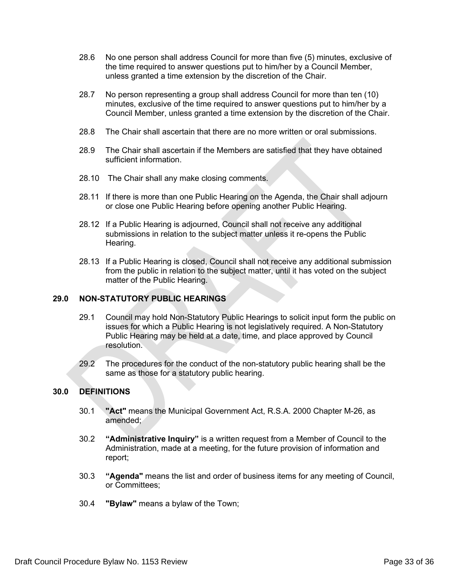- 28.6 No one person shall address Council for more than five (5) minutes, exclusive of the time required to answer questions put to him/her by a Council Member, unless granted a time extension by the discretion of the Chair.
- 28.7 No person representing a group shall address Council for more than ten (10) minutes, exclusive of the time required to answer questions put to him/her by a Council Member, unless granted a time extension by the discretion of the Chair.
- 28.8 The Chair shall ascertain that there are no more written or oral submissions.
- 28.9 The Chair shall ascertain if the Members are satisfied that they have obtained sufficient information.
- 28.10 The Chair shall any make closing comments.
- 28.11 If there is more than one Public Hearing on the Agenda, the Chair shall adjourn or close one Public Hearing before opening another Public Hearing.
- 28.12 If a Public Hearing is adjourned, Council shall not receive any additional submissions in relation to the subject matter unless it re-opens the Public Hearing.
- 28.13 If a Public Hearing is closed, Council shall not receive any additional submission from the public in relation to the subject matter, until it has voted on the subject matter of the Public Hearing.

## **29.0 NON-STATUTORY PUBLIC HEARINGS**

- 29.1 Council may hold Non-Statutory Public Hearings to solicit input form the public on issues for which a Public Hearing is not legislatively required. A Non-Statutory Public Hearing may be held at a date, time, and place approved by Council resolution.
- 29.2 The procedures for the conduct of the non-statutory public hearing shall be the same as those for a statutory public hearing.

## **30.0 DEFINITIONS**

- 30.1 **"Act"** means the Municipal Government Act, R.S.A. 2000 Chapter M-26, as amended;
- 30.2 **"Administrative Inquiry"** is a written request from a Member of Council to the Administration, made at a meeting, for the future provision of information and report;
- 30.3 **"Agenda"** means the list and order of business items for any meeting of Council, or Committees;
- 30.4 **"Bylaw"** means a bylaw of the Town;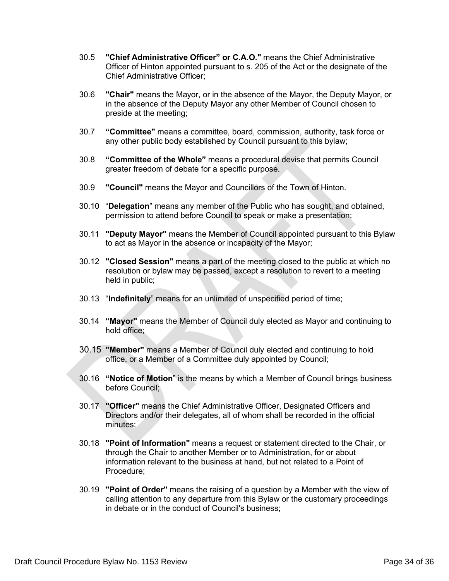- 30.5 **"Chief Administrative Officer" or C.A.O."** means the Chief Administrative Officer of Hinton appointed pursuant to s. 205 of the Act or the designate of the Chief Administrative Officer;
- 30.6 **"Chair"** means the Mayor, or in the absence of the Mayor, the Deputy Mayor, or in the absence of the Deputy Mayor any other Member of Council chosen to preside at the meeting;
- 30.7 **"Committee"** means a committee, board, commission, authority, task force or any other public body established by Council pursuant to this bylaw;
- 30.8 **"Committee of the Whole"** means a procedural devise that permits Council greater freedom of debate for a specific purpose.
- 30.9 **"Council"** means the Mayor and Councillors of the Town of Hinton.
- 30.10 "**Delegation**" means any member of the Public who has sought, and obtained, permission to attend before Council to speak or make a presentation;
- 30.11 **"Deputy Mayor"** means the Member of Council appointed pursuant to this Bylaw to act as Mayor in the absence or incapacity of the Mayor;
- 30.12 **"Closed Session"** means a part of the meeting closed to the public at which no resolution or bylaw may be passed, except a resolution to revert to a meeting held in public;
- 30.13 "**Indefinitely**" means for an unlimited of unspecified period of time;
- 30.14 **"Mayor"** means the Member of Council duly elected as Mayor and continuing to hold office;
- 30.15 **"Member"** means a Member of Council duly elected and continuing to hold office, or a Member of a Committee duly appointed by Council;
- 30.16 **"Notice of Motion**" is the means by which a Member of Council brings business before Council;
- 30.17 **"Officer"** means the Chief Administrative Officer, Designated Officers and Directors and/or their delegates, all of whom shall be recorded in the official minutes;
- 30.18 **"Point of Information"** means a request or statement directed to the Chair, or through the Chair to another Member or to Administration, for or about information relevant to the business at hand, but not related to a Point of Procedure;
- 30.19 **"Point of Order"** means the raising of a question by a Member with the view of calling attention to any departure from this Bylaw or the customary proceedings in debate or in the conduct of Council's business;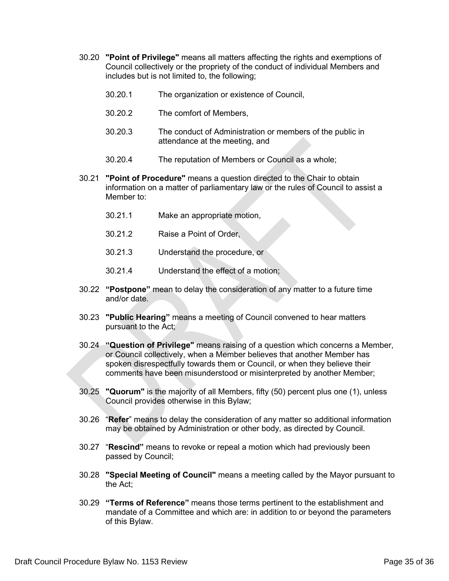- 30.20 **"Point of Privilege"** means all matters affecting the rights and exemptions of Council collectively or the propriety of the conduct of individual Members and includes but is not limited to, the following;
	- 30.20.1 The organization or existence of Council,
	- 30.20.2 The comfort of Members,
	- 30.20.3 The conduct of Administration or members of the public in attendance at the meeting, and
	- 30.20.4 The reputation of Members or Council as a whole;
- 30.21 **"Point of Procedure"** means a question directed to the Chair to obtain information on a matter of parliamentary law or the rules of Council to assist a Member to:
	- 30.21.1 Make an appropriate motion,
	- 30.21.2 Raise a Point of Order,
	- 30.21.3 Understand the procedure, or
	- 30.21.4 Understand the effect of a motion;
- 30.22 **"Postpone"** mean to delay the consideration of any matter to a future time and/or date.
- 30.23 **"Public Hearing"** means a meeting of Council convened to hear matters pursuant to the Act;
- 30.24 **"Question of Privilege"** means raising of a question which concerns a Member, or Council collectively, when a Member believes that another Member has spoken disrespectfully towards them or Council, or when they believe their comments have been misunderstood or misinterpreted by another Member;
- 30.25 **"Quorum"** is the majority of all Members, fifty (50) percent plus one (1), unless Council provides otherwise in this Bylaw;
- 30.26 "**Refer**" means to delay the consideration of any matter so additional information may be obtained by Administration or other body, as directed by Council.
- 30.27 "**Rescind"** means to revoke or repeal a motion which had previously been passed by Council;
- 30.28 **"Special Meeting of Council"** means a meeting called by the Mayor pursuant to the Act;
- 30.29 **"Terms of Reference"** means those terms pertinent to the establishment and mandate of a Committee and which are: in addition to or beyond the parameters of this Bylaw.